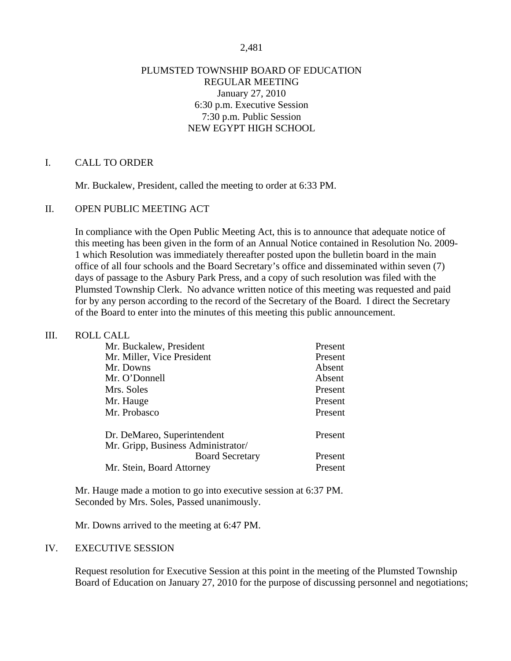### PLUMSTED TOWNSHIP BOARD OF EDUCATION REGULAR MEETING January 27, 2010 6:30 p.m. Executive Session 7:30 p.m. Public Session NEW EGYPT HIGH SCHOOL

## I. CALL TO ORDER

Mr. Buckalew, President, called the meeting to order at 6:33 PM.

### II. OPEN PUBLIC MEETING ACT

In compliance with the Open Public Meeting Act, this is to announce that adequate notice of this meeting has been given in the form of an Annual Notice contained in Resolution No. 2009- 1 which Resolution was immediately thereafter posted upon the bulletin board in the main office of all four schools and the Board Secretary's office and disseminated within seven (7) days of passage to the Asbury Park Press, and a copy of such resolution was filed with the Plumsted Township Clerk. No advance written notice of this meeting was requested and paid for by any person according to the record of the Secretary of the Board. I direct the Secretary of the Board to enter into the minutes of this meeting this public announcement.

### III. ROLL CALL

| Mr. Buckalew, President            | Present |
|------------------------------------|---------|
| Mr. Miller, Vice President         | Present |
| Mr. Downs                          | Absent  |
| Mr. O'Donnell                      | Absent  |
| Mrs. Soles                         | Present |
| Mr. Hauge                          | Present |
| Mr. Probasco                       | Present |
| Dr. DeMareo, Superintendent        | Present |
| Mr. Gripp, Business Administrator/ |         |
| <b>Board Secretary</b>             | Present |
| Mr. Stein, Board Attorney          | Present |

 Mr. Hauge made a motion to go into executive session at 6:37 PM. Seconded by Mrs. Soles, Passed unanimously.

Mr. Downs arrived to the meeting at 6:47 PM.

### IV. EXECUTIVE SESSION

Request resolution for Executive Session at this point in the meeting of the Plumsted Township Board of Education on January 27, 2010 for the purpose of discussing personnel and negotiations;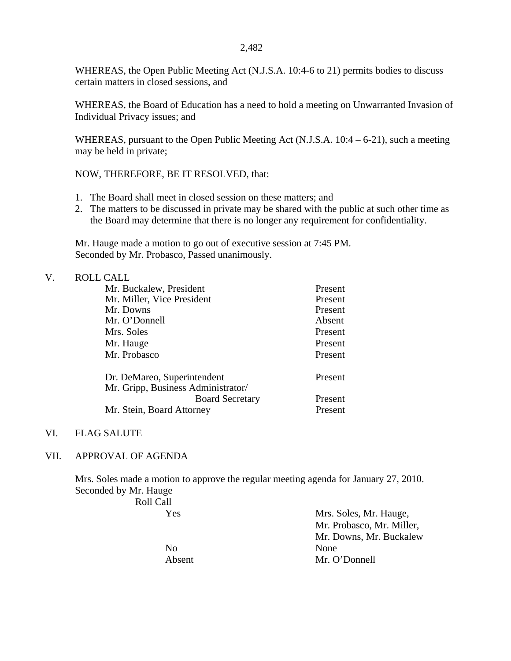WHEREAS, the Open Public Meeting Act (N.J.S.A. 10:4-6 to 21) permits bodies to discuss certain matters in closed sessions, and

WHEREAS, the Board of Education has a need to hold a meeting on Unwarranted Invasion of Individual Privacy issues; and

WHEREAS, pursuant to the Open Public Meeting Act (N.J.S.A. 10:4 – 6-21), such a meeting may be held in private;

NOW, THEREFORE, BE IT RESOLVED, that:

- 1. The Board shall meet in closed session on these matters; and
- 2. The matters to be discussed in private may be shared with the public at such other time as the Board may determine that there is no longer any requirement for confidentiality.

 Mr. Hauge made a motion to go out of executive session at 7:45 PM. Seconded by Mr. Probasco, Passed unanimously.

### V. ROLL CALL

| Mr. Buckalew, President            | Present |
|------------------------------------|---------|
| Mr. Miller, Vice President         | Present |
| Mr. Downs                          | Present |
| Mr. O'Donnell                      | Absent  |
| Mrs. Soles                         | Present |
| Mr. Hauge                          | Present |
| Mr. Probasco                       | Present |
| Dr. DeMareo, Superintendent        | Present |
| Mr. Gripp, Business Administrator/ |         |
| <b>Board Secretary</b>             | Present |
| Mr. Stein, Board Attorney          | Present |

### VI. FLAG SALUTE

### VII. APPROVAL OF AGENDA

Mrs. Soles made a motion to approve the regular meeting agenda for January 27, 2010. Seconded by Mr. Hauge

Roll Call

 Yes Mrs. Soles, Mr. Hauge, Mr. Probasco, Mr. Miller, Mr. Downs, Mr. Buckalew Absent Mr. O'Donnell

No None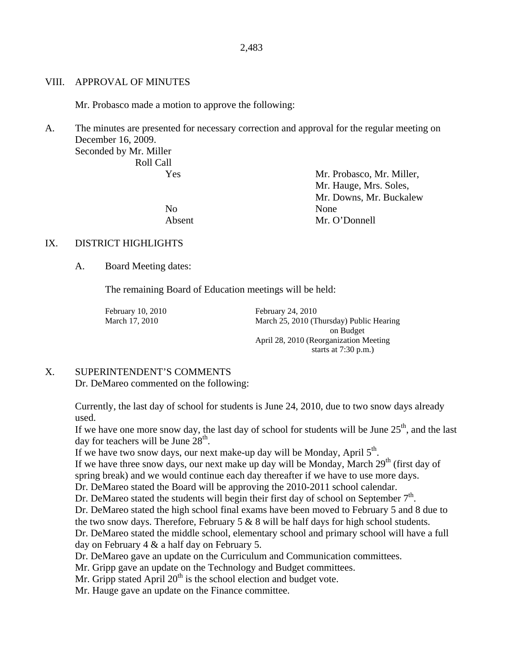#### VIII. APPROVAL OF MINUTES

Mr. Probasco made a motion to approve the following:

A. The minutes are presented for necessary correction and approval for the regular meeting on December 16, 2009.

Seconded by Mr. Miller Roll Call

 Yes Mr. Probasco, Mr. Miller, Mr. Hauge, Mrs. Soles, Mr. Downs, Mr. Buckalew No None Absent Mr. O'Donnell

### IX. DISTRICT HIGHLIGHTS

A. Board Meeting dates:

The remaining Board of Education meetings will be held:

February 10, 2010 February 24, 2010

March 17, 2010 March 25, 2010 (Thursday) Public Hearing on Budget April 28, 2010 (Reorganization Meeting starts at 7:30 p.m.)

### X. SUPERINTENDENT'S COMMENTS

Dr. DeMareo commented on the following:

Currently, the last day of school for students is June 24, 2010, due to two snow days already used.

If we have one more snow day, the last day of school for students will be June  $25<sup>th</sup>$ , and the last day for teachers will be June  $28<sup>th</sup>$ .

If we have two snow days, our next make-up day will be Monday, April  $5<sup>th</sup>$ .

If we have three snow days, our next make up day will be Monday, March  $29<sup>th</sup>$  (first day of spring break) and we would continue each day thereafter if we have to use more days.

Dr. DeMareo stated the Board will be approving the 2010-2011 school calendar.

Dr. DeMareo stated the students will begin their first day of school on September  $7<sup>th</sup>$ .

Dr. DeMareo stated the high school final exams have been moved to February 5 and 8 due to the two snow days. Therefore, February  $5 \& 8$  will be half days for high school students.

Dr. DeMareo stated the middle school, elementary school and primary school will have a full day on February 4 & a half day on February 5.

Dr. DeMareo gave an update on the Curriculum and Communication committees.

Mr. Gripp gave an update on the Technology and Budget committees.

Mr. Gripp stated April  $20<sup>th</sup>$  is the school election and budget vote.

Mr. Hauge gave an update on the Finance committee.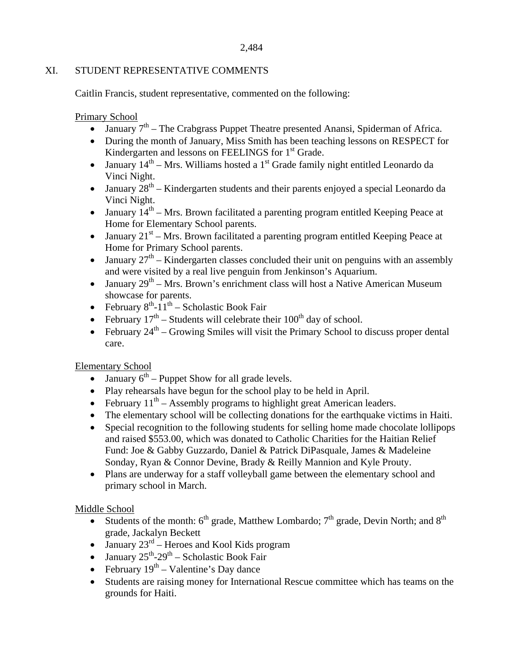# XI. STUDENT REPRESENTATIVE COMMENTS

Caitlin Francis, student representative, commented on the following:

Primary School

- $\bullet$  January  $7<sup>th</sup>$  The Crabgrass Puppet Theatre presented Anansi, Spiderman of Africa.
- During the month of January, Miss Smith has been teaching lessons on RESPECT for Kindergarten and lessons on FEELINGS for 1<sup>st</sup> Grade.
- January  $14<sup>th</sup>$  Mrs. Williams hosted a 1<sup>st</sup> Grade family night entitled Leonardo da Vinci Night.
- January  $28<sup>th</sup>$  Kindergarten students and their parents enjoyed a special Leonardo da Vinci Night.
- January  $14<sup>th</sup>$  Mrs. Brown facilitated a parenting program entitled Keeping Peace at Home for Elementary School parents.
- January  $21^{st}$  Mrs. Brown facilitated a parenting program entitled Keeping Peace at Home for Primary School parents.
- January  $27<sup>th</sup>$  Kindergarten classes concluded their unit on penguins with an assembly and were visited by a real live penguin from Jenkinson's Aquarium.
- January  $29<sup>th</sup> Mrs. Brown's enrichment class will host a Native American Museum$ showcase for parents.
- February  $8^{th}$ -11<sup>th</sup> Scholastic Book Fair
- February  $17<sup>th</sup>$  Students will celebrate their  $100<sup>th</sup>$  day of school.
- February  $24^{th}$  Growing Smiles will visit the Primary School to discuss proper dental care.

# Elementary School

- January  $6<sup>th</sup>$  Puppet Show for all grade levels.
- Play rehearsals have begun for the school play to be held in April.
- February  $11^{th}$  Assembly programs to highlight great American leaders.
- The elementary school will be collecting donations for the earthquake victims in Haiti.
- Special recognition to the following students for selling home made chocolate lollipops and raised \$553.00, which was donated to Catholic Charities for the Haitian Relief Fund: Joe & Gabby Guzzardo, Daniel & Patrick DiPasquale, James & Madeleine Sonday, Ryan & Connor Devine, Brady & Reilly Mannion and Kyle Prouty.
- Plans are underway for a staff volleyball game between the elementary school and primary school in March.

# Middle School

- Students of the month:  $6<sup>th</sup>$  grade, Matthew Lombardo;  $7<sup>th</sup>$  grade, Devin North; and  $8<sup>th</sup>$ grade, Jackalyn Beckett
- January  $23<sup>rd</sup>$  Heroes and Kool Kids program
- January  $25^{th} 29^{th} -$  Scholastic Book Fair
- February  $19^{th}$  Valentine's Day dance
- Students are raising money for International Rescue committee which has teams on the grounds for Haiti.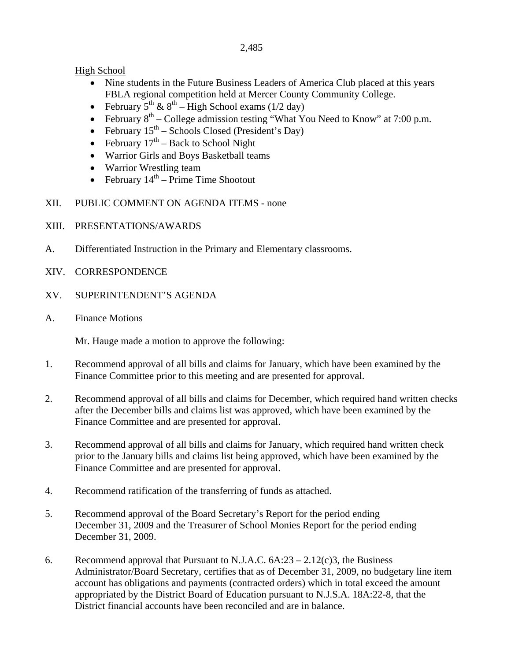High School

- Nine students in the Future Business Leaders of America Club placed at this years FBLA regional competition held at Mercer County Community College.
- February  $5^{th}$  &  $8^{th}$  High School exams (1/2 day)
- February  $8<sup>th</sup>$  College admission testing "What You Need to Know" at 7:00 p.m.
- February  $15^{th}$  Schools Closed (President's Day)
- February  $17<sup>th</sup>$  Back to School Night
- Warrior Girls and Boys Basketball teams
- Warrior Wrestling team
- February  $14<sup>th</sup>$  Prime Time Shootout
- XII. PUBLIC COMMENT ON AGENDA ITEMS none
- XIII. PRESENTATIONS/AWARDS
- A. Differentiated Instruction in the Primary and Elementary classrooms.
- XIV. CORRESPONDENCE
- XV. SUPERINTENDENT'S AGENDA
- A. Finance Motions

Mr. Hauge made a motion to approve the following:

- 1. Recommend approval of all bills and claims for January, which have been examined by the Finance Committee prior to this meeting and are presented for approval.
- 2. Recommend approval of all bills and claims for December, which required hand written checks after the December bills and claims list was approved, which have been examined by the Finance Committee and are presented for approval.
- 3. Recommend approval of all bills and claims for January, which required hand written check prior to the January bills and claims list being approved, which have been examined by the Finance Committee and are presented for approval.
- 4. Recommend ratification of the transferring of funds as attached.
- 5. Recommend approval of the Board Secretary's Report for the period ending December 31, 2009 and the Treasurer of School Monies Report for the period ending December 31, 2009.
- 6. Recommend approval that Pursuant to N.J.A.C.  $6A:23 2.12(c)3$ , the Business Administrator/Board Secretary, certifies that as of December 31, 2009, no budgetary line item account has obligations and payments (contracted orders) which in total exceed the amount appropriated by the District Board of Education pursuant to N.J.S.A. 18A:22-8, that the District financial accounts have been reconciled and are in balance.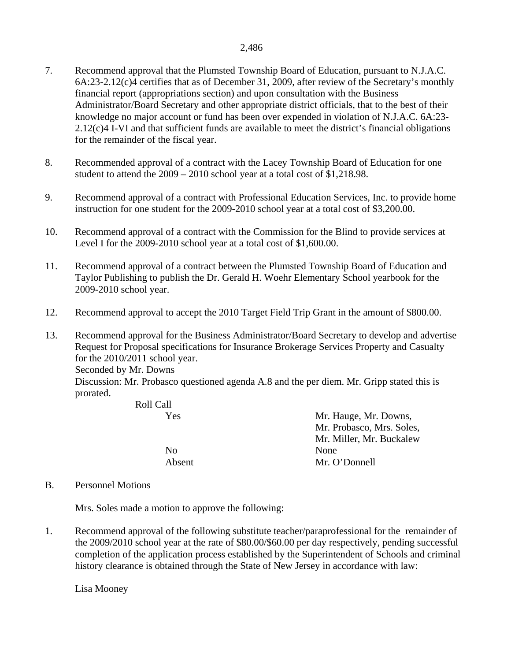- 7. Recommend approval that the Plumsted Township Board of Education, pursuant to N.J.A.C. 6A:23-2.12(c)4 certifies that as of December 31, 2009, after review of the Secretary's monthly financial report (appropriations section) and upon consultation with the Business Administrator/Board Secretary and other appropriate district officials, that to the best of their knowledge no major account or fund has been over expended in violation of N.J.A.C. 6A:23- 2.12(c)4 I-VI and that sufficient funds are available to meet the district's financial obligations for the remainder of the fiscal year.
- 8. Recommended approval of a contract with the Lacey Township Board of Education for one student to attend the 2009 – 2010 school year at a total cost of \$1,218.98.
- 9. Recommend approval of a contract with Professional Education Services, Inc. to provide home instruction for one student for the 2009-2010 school year at a total cost of \$3,200.00.
- 10. Recommend approval of a contract with the Commission for the Blind to provide services at Level I for the 2009-2010 school year at a total cost of \$1,600.00.
- 11. Recommend approval of a contract between the Plumsted Township Board of Education and Taylor Publishing to publish the Dr. Gerald H. Woehr Elementary School yearbook for the 2009-2010 school year.
- 12. Recommend approval to accept the 2010 Target Field Trip Grant in the amount of \$800.00.

13. Recommend approval for the Business Administrator/Board Secretary to develop and advertise Request for Proposal specifications for Insurance Brokerage Services Property and Casualty for the 2010/2011 school year. Seconded by Mr. Downs Discussion: Mr. Probasco questioned agenda A.8 and the per diem. Mr. Gripp stated this is prorated.

| Mr. Hauge, Mr. Downs,     |
|---------------------------|
| Mr. Probasco, Mrs. Soles, |
| Mr. Miller, Mr. Buckalew  |
| None                      |
| Mr. O'Donnell             |
|                           |

B. Personnel Motions

Mrs. Soles made a motion to approve the following:

1. Recommend approval of the following substitute teacher/paraprofessional for the remainder of the 2009/2010 school year at the rate of \$80.00/\$60.00 per day respectively, pending successful completion of the application process established by the Superintendent of Schools and criminal history clearance is obtained through the State of New Jersey in accordance with law:

Lisa Mooney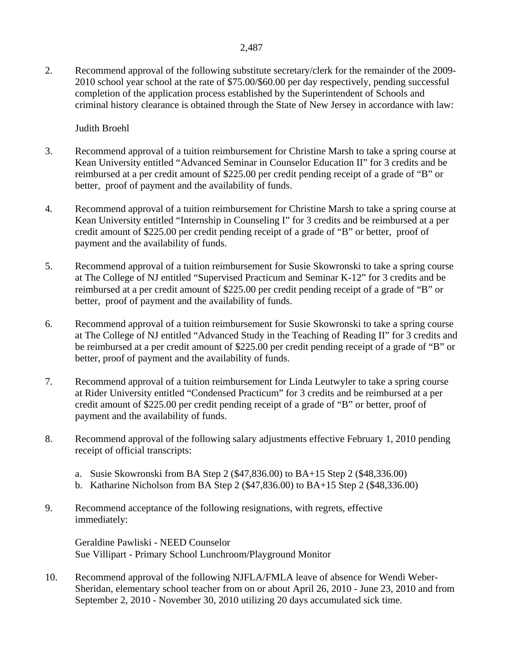2. Recommend approval of the following substitute secretary/clerk for the remainder of the 2009- 2010 school year school at the rate of \$75.00/\$60.00 per day respectively, pending successful completion of the application process established by the Superintendent of Schools and criminal history clearance is obtained through the State of New Jersey in accordance with law:

## Judith Broehl

- 3. Recommend approval of a tuition reimbursement for Christine Marsh to take a spring course at Kean University entitled "Advanced Seminar in Counselor Education II" for 3 credits and be reimbursed at a per credit amount of \$225.00 per credit pending receipt of a grade of "B" or better, proof of payment and the availability of funds.
- 4. Recommend approval of a tuition reimbursement for Christine Marsh to take a spring course at Kean University entitled "Internship in Counseling I" for 3 credits and be reimbursed at a per credit amount of \$225.00 per credit pending receipt of a grade of "B" or better, proof of payment and the availability of funds.
- 5. Recommend approval of a tuition reimbursement for Susie Skowronski to take a spring course at The College of NJ entitled "Supervised Practicum and Seminar K-12" for 3 credits and be reimbursed at a per credit amount of \$225.00 per credit pending receipt of a grade of "B" or better, proof of payment and the availability of funds.
- 6. Recommend approval of a tuition reimbursement for Susie Skowronski to take a spring course at The College of NJ entitled "Advanced Study in the Teaching of Reading II" for 3 credits and be reimbursed at a per credit amount of \$225.00 per credit pending receipt of a grade of "B" or better, proof of payment and the availability of funds.
- 7. Recommend approval of a tuition reimbursement for Linda Leutwyler to take a spring course at Rider University entitled "Condensed Practicum" for 3 credits and be reimbursed at a per credit amount of \$225.00 per credit pending receipt of a grade of "B" or better, proof of payment and the availability of funds.
- 8. Recommend approval of the following salary adjustments effective February 1, 2010 pending receipt of official transcripts:
	- a. Susie Skowronski from BA Step 2 (\$47,836.00) to BA+15 Step 2 (\$48,336.00)
	- b. Katharine Nicholson from BA Step 2 (\$47,836.00) to BA+15 Step 2 (\$48,336.00)
- 9. Recommend acceptance of the following resignations, with regrets, effective immediately:

 Geraldine Pawliski - NEED Counselor Sue Villipart - Primary School Lunchroom/Playground Monitor

10. Recommend approval of the following NJFLA/FMLA leave of absence for Wendi Weber-Sheridan, elementary school teacher from on or about April 26, 2010 - June 23, 2010 and from September 2, 2010 - November 30, 2010 utilizing 20 days accumulated sick time.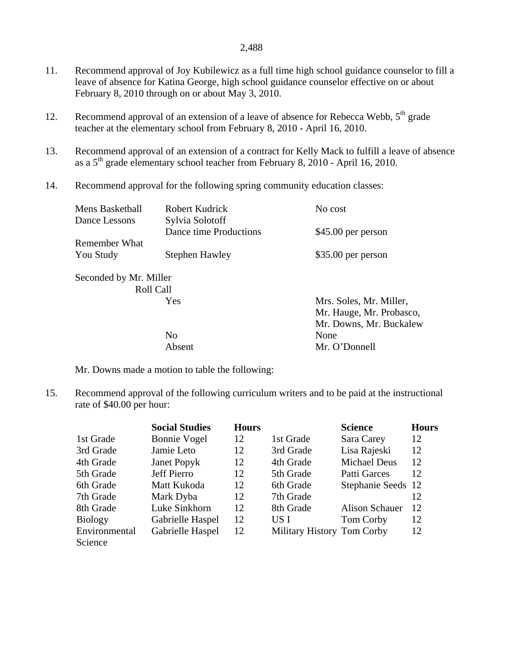- 11. Recommend approval of Joy Kubilewicz as a full time high school guidance counselor to fill a leave of absence for Katina George, high school guidance counselor effective on or about February 8, 2010 through on or about May 3, 2010.
- 12. Recommend approval of an extension of a leave of absence for Rebecca Webb,  $5<sup>th</sup>$  grade teacher at the elementary school from February 8, 2010 - April 16, 2010.
- 13. Recommend approval of an extension of a contract for Kelly Mack to fulfill a leave of absence as a  $5<sup>th</sup>$  grade elementary school teacher from February 8, 2010 - April 16, 2010.
- 14. Recommend approval for the following spring community education classes:

| <b>Mens Basketball</b>                     | Robert Kudrick         | No cost                                                                        |
|--------------------------------------------|------------------------|--------------------------------------------------------------------------------|
| Dance Lessons                              | Sylvia Solotoff        |                                                                                |
|                                            | Dance time Productions | \$45.00 per person                                                             |
| Remember What                              |                        |                                                                                |
| You Study                                  | <b>Stephen Hawley</b>  | \$35.00 per person                                                             |
| Seconded by Mr. Miller<br><b>Roll Call</b> | Yes                    | Mrs. Soles, Mr. Miller,<br>Mr. Hauge, Mr. Probasco,<br>Mr. Downs, Mr. Buckalew |
|                                            | N <sub>0</sub>         | None                                                                           |
|                                            | Absent                 | Mr. O'Donnell                                                                  |
|                                            |                        |                                                                                |

Mr. Downs made a motion to table the following:

15. Recommend approval of the following curriculum writers and to be paid at the instructional rate of \$40.00 per hour:

|                | <b>Social Studies</b> | <b>Hours</b> |                            | <b>Science</b>        | <b>Hours</b> |
|----------------|-----------------------|--------------|----------------------------|-----------------------|--------------|
| 1st Grade      | <b>Bonnie Vogel</b>   | 12           | 1st Grade                  | Sara Carey            | 12           |
| 3rd Grade      | Jamie Leto            | 12           | 3rd Grade                  | Lisa Rajeski          | 12           |
| 4th Grade      | Janet Popyk           | 12           | 4th Grade                  | <b>Michael Deus</b>   | 12           |
| 5th Grade      | Jeff Pierro           | 12           | 5th Grade                  | Patti Garces          | 12           |
| 6th Grade      | Matt Kukoda           | 12           | 6th Grade                  | Stephanie Seeds 12    |              |
| 7th Grade      | Mark Dyba             | 12           | 7th Grade                  |                       | 12           |
| 8th Grade      | Luke Sinkhorn         | 12           | 8th Grade                  | <b>Alison Schauer</b> | 12           |
| <b>Biology</b> | Gabrielle Haspel      | 12           | US I                       | Tom Corby             | 12           |
| Environmental  | Gabrielle Haspel      | 12           | Military History Tom Corby |                       | 12           |
| Science        |                       |              |                            |                       |              |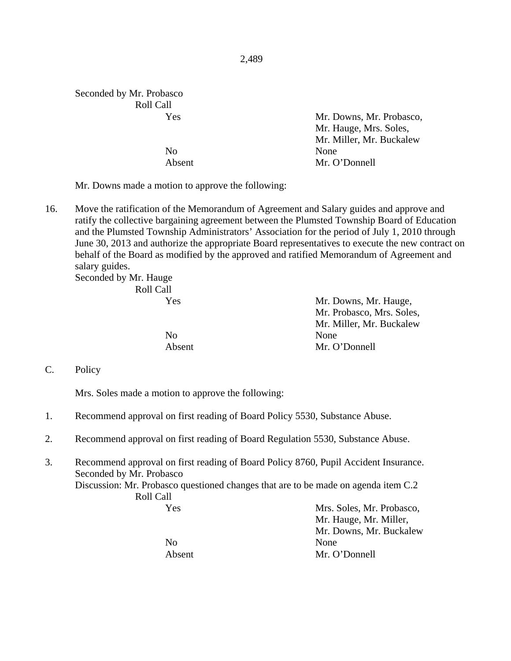| Seconded by Mr. Probasco |                          |
|--------------------------|--------------------------|
| Roll Call                |                          |
| Yes                      | Mr. Downs, Mr. Probasco, |
|                          | Mr. Hauge, Mrs. Soles,   |
|                          | Mr. Miller, Mr. Buckalew |
| No                       | None                     |
| Absent                   | Mr. O'Donnell            |
|                          |                          |

Mr. Downs made a motion to approve the following:

16. Move the ratification of the Memorandum of Agreement and Salary guides and approve and ratify the collective bargaining agreement between the Plumsted Township Board of Education and the Plumsted Township Administrators' Association for the period of July 1, 2010 through June 30, 2013 and authorize the appropriate Board representatives to execute the new contract on behalf of the Board as modified by the approved and ratified Memorandum of Agreement and salary guides.

Seconded by Mr. Hauge Roll Call

| Yes.   | Mr. Downs, Mr. Hauge,     |
|--------|---------------------------|
|        | Mr. Probasco, Mrs. Soles, |
|        | Mr. Miller, Mr. Buckalew  |
| No.    | None                      |
| Absent | Mr. O'Donnell             |

C. Policy

Mrs. Soles made a motion to approve the following:

- 1. Recommend approval on first reading of Board Policy 5530, Substance Abuse.
- 2. Recommend approval on first reading of Board Regulation 5530, Substance Abuse.
- 3. Recommend approval on first reading of Board Policy 8760, Pupil Accident Insurance. Seconded by Mr. Probasco Discussion: Mr. Probasco questioned changes that are to be made on agenda item C.2 Roll Call Yes Mrs. Soles, Mr. Probasco, Mr. Hauge, Mr. Miller,

No None

 Mr. Downs, Mr. Buckalew Absent Mr. O'Donnell

#### 2,489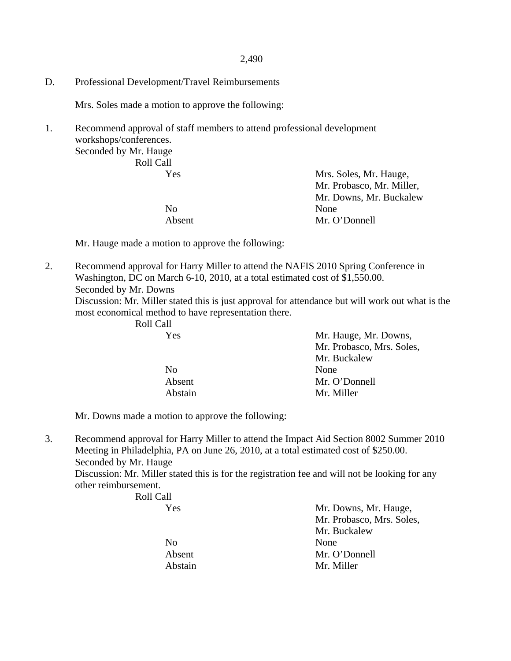D. Professional Development/Travel Reimbursements

Mrs. Soles made a motion to approve the following:

1. Recommend approval of staff members to attend professional development workshops/conferences.

Seconded by Mr. Hauge Roll Call

| 10011 Can |                           |
|-----------|---------------------------|
| Yes       | Mrs. Soles, Mr. Hauge,    |
|           | Mr. Probasco, Mr. Miller, |
|           | Mr. Downs, Mr. Buckalew   |
| No        | None                      |
| Absent    | Mr. O'Donnell             |
|           |                           |

Mr. Hauge made a motion to approve the following:

2. Recommend approval for Harry Miller to attend the NAFIS 2010 Spring Conference in Washington, DC on March 6-10, 2010, at a total estimated cost of \$1,550.00. Seconded by Mr. Downs Discussion: Mr. Miller stated this is just approval for attendance but will work out what is the most economical method to have representation there.

Roll Call

| Yes            | Mr. Hauge, Mr. Downs,     |
|----------------|---------------------------|
|                | Mr. Probasco, Mrs. Soles, |
|                | Mr. Buckalew              |
| N <sub>0</sub> | None                      |
| Absent         | Mr. O'Donnell             |
| Abstain        | Mr. Miller                |

Mr. Downs made a motion to approve the following:

3. Recommend approval for Harry Miller to attend the Impact Aid Section 8002 Summer 2010 Meeting in Philadelphia, PA on June 26, 2010, at a total estimated cost of \$250.00. Seconded by Mr. Hauge

Discussion: Mr. Miller stated this is for the registration fee and will not be looking for any other reimbursement.

| Roll Call      |                           |
|----------------|---------------------------|
| Yes            | Mr. Downs, Mr. Hauge,     |
|                | Mr. Probasco, Mrs. Soles, |
|                | Mr. Buckalew              |
| N <sub>0</sub> | None                      |
| Absent         | Mr. O'Donnell             |
| Abstain        | Mr. Miller                |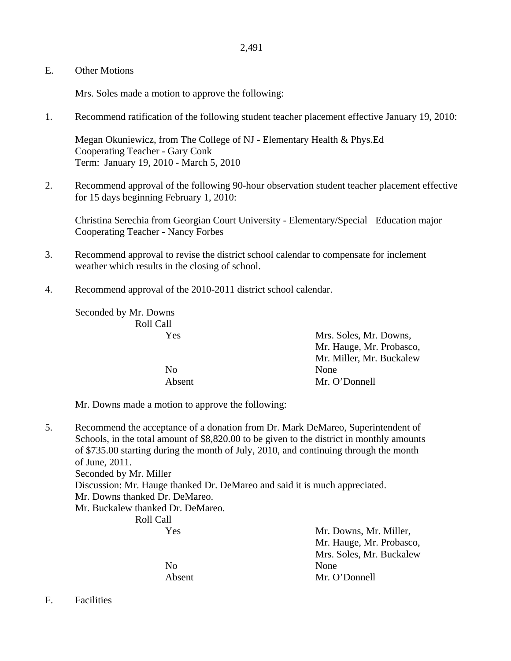E. Other Motions

Mrs. Soles made a motion to approve the following:

1. Recommend ratification of the following student teacher placement effective January 19, 2010:

 Megan Okuniewicz, from The College of NJ - Elementary Health & Phys.Ed Cooperating Teacher - Gary Conk Term: January 19, 2010 - March 5, 2010

2. Recommend approval of the following 90-hour observation student teacher placement effective for 15 days beginning February 1, 2010:

 Christina Serechia from Georgian Court University - Elementary/Special Education major Cooperating Teacher - Nancy Forbes

- 3. Recommend approval to revise the district school calendar to compensate for inclement weather which results in the closing of school.
- 4. Recommend approval of the 2010-2011 district school calendar.

Seconded by Mr. Downs Roll Call

 Yes Mrs. Soles, Mr. Downs, Mr. Hauge, Mr. Probasco, Mr. Miller, Mr. Buckalew No None Absent Mr. O'Donnell

Mr. Downs made a motion to approve the following:

5. Recommend the acceptance of a donation from Dr. Mark DeMareo, Superintendent of Schools, in the total amount of \$8,820.00 to be given to the district in monthly amounts of \$735.00 starting during the month of July, 2010, and continuing through the month of June, 2011. Seconded by Mr. Miller Discussion: Mr. Hauge thanked Dr. DeMareo and said it is much appreciated. Mr. Downs thanked Dr. DeMareo. Mr. Buckalew thanked Dr. DeMareo. Roll Call

 Yes Mr. Downs, Mr. Miller, Mr. Hauge, Mr. Probasco, Mrs. Soles, Mr. Buckalew No None Absent Mr. O'Donnell

F. Facilities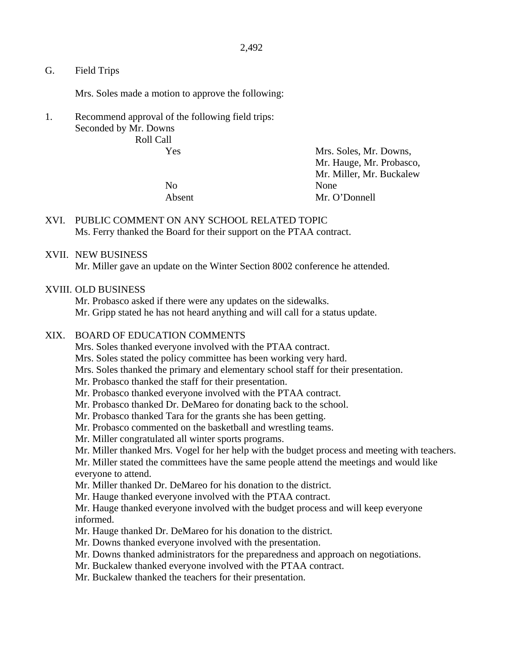G. Field Trips

Mrs. Soles made a motion to approve the following:

1. Recommend approval of the following field trips: Seconded by Mr. Downs Roll Call

No None

 Yes Mrs. Soles, Mr. Downs, Mr. Hauge, Mr. Probasco, Mr. Miller, Mr. Buckalew Absent Mr. O'Donnell

## XVI. PUBLIC COMMENT ON ANY SCHOOL RELATED TOPIC Ms. Ferry thanked the Board for their support on the PTAA contract.

### XVII. NEW BUSINESS

Mr. Miller gave an update on the Winter Section 8002 conference he attended.

### XVIII. OLD BUSINESS

Mr. Probasco asked if there were any updates on the sidewalks. Mr. Gripp stated he has not heard anything and will call for a status update.

### XIX. BOARD OF EDUCATION COMMENTS

Mrs. Soles thanked everyone involved with the PTAA contract.

Mrs. Soles stated the policy committee has been working very hard.

Mrs. Soles thanked the primary and elementary school staff for their presentation.

Mr. Probasco thanked the staff for their presentation.

- Mr. Probasco thanked everyone involved with the PTAA contract.
- Mr. Probasco thanked Dr. DeMareo for donating back to the school.
- Mr. Probasco thanked Tara for the grants she has been getting.
- Mr. Probasco commented on the basketball and wrestling teams.

Mr. Miller congratulated all winter sports programs.

Mr. Miller thanked Mrs. Vogel for her help with the budget process and meeting with teachers.

Mr. Miller stated the committees have the same people attend the meetings and would like everyone to attend.

Mr. Miller thanked Dr. DeMareo for his donation to the district.

Mr. Hauge thanked everyone involved with the PTAA contract.

Mr. Hauge thanked everyone involved with the budget process and will keep everyone informed.

- Mr. Hauge thanked Dr. DeMareo for his donation to the district.
- Mr. Downs thanked everyone involved with the presentation.
- Mr. Downs thanked administrators for the preparedness and approach on negotiations.
- Mr. Buckalew thanked everyone involved with the PTAA contract.

Mr. Buckalew thanked the teachers for their presentation.